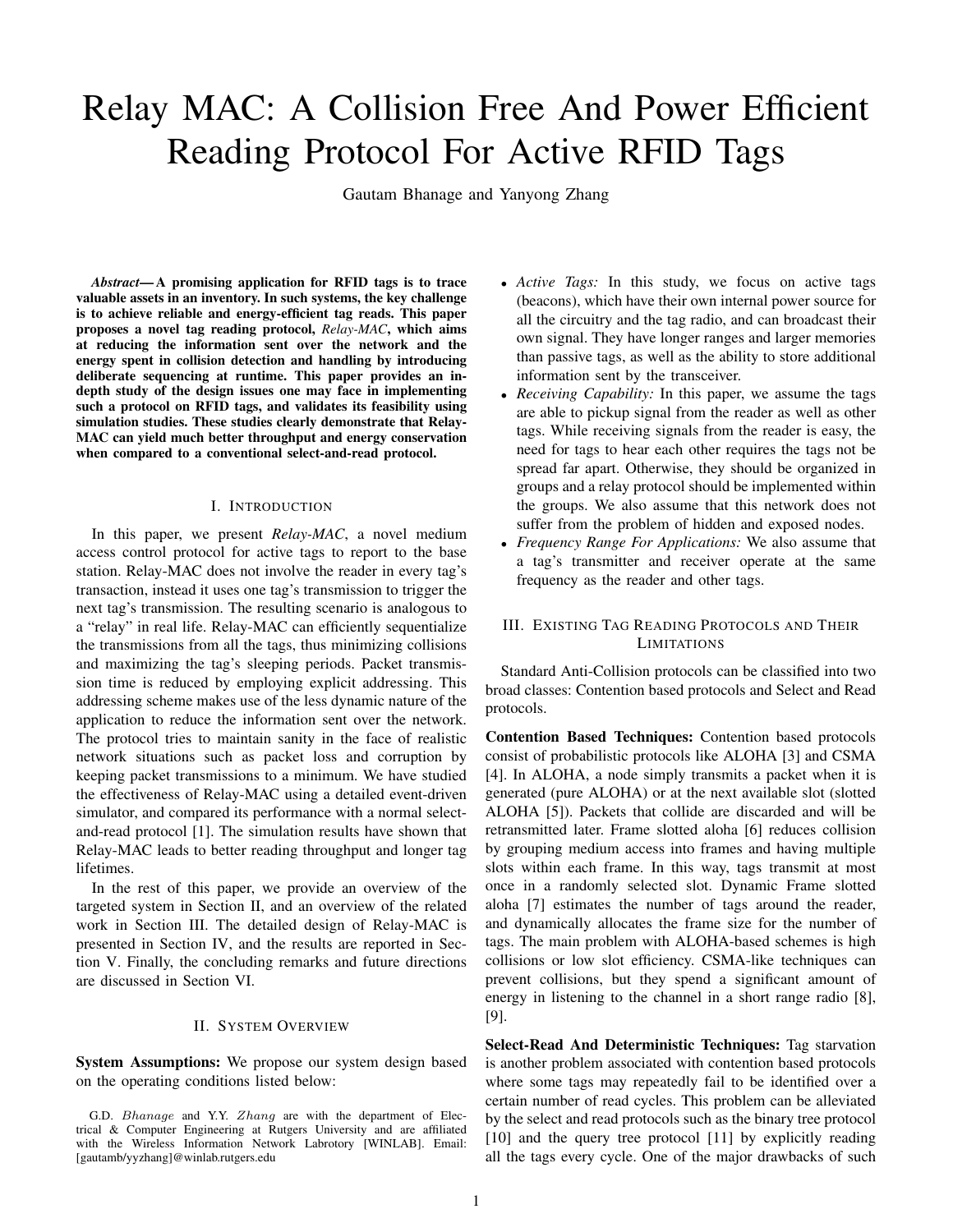# Relay MAC: A Collision Free And Power Efficient Reading Protocol For Active RFID Tags

Gautam Bhanage and Yanyong Zhang

*Abstract***— A promising application for RFID tags is to trace valuable assets in an inventory. In such systems, the key challenge is to achieve reliable and energy-efficient tag reads. This paper proposes a novel tag reading protocol,** *Relay-MAC***, which aims at reducing the information sent over the network and the energy spent in collision detection and handling by introducing deliberate sequencing at runtime. This paper provides an indepth study of the design issues one may face in implementing such a protocol on RFID tags, and validates its feasibility using simulation studies. These studies clearly demonstrate that Relay-MAC can yield much better throughput and energy conservation when compared to a conventional select-and-read protocol.**

## I. INTRODUCTION

In this paper, we present *Relay-MAC*, a novel medium access control protocol for active tags to report to the base station. Relay-MAC does not involve the reader in every tag's transaction, instead it uses one tag's transmission to trigger the next tag's transmission. The resulting scenario is analogous to a "relay" in real life. Relay-MAC can efficiently sequentialize the transmissions from all the tags, thus minimizing collisions and maximizing the tag's sleeping periods. Packet transmission time is reduced by employing explicit addressing. This addressing scheme makes use of the less dynamic nature of the application to reduce the information sent over the network. The protocol tries to maintain sanity in the face of realistic network situations such as packet loss and corruption by keeping packet transmissions to a minimum. We have studied the effectiveness of Relay-MAC using a detailed event-driven simulator, and compared its performance with a normal selectand-read protocol [1]. The simulation results have shown that Relay-MAC leads to better reading throughput and longer tag lifetimes.

In the rest of this paper, we provide an overview of the targeted system in Section II, and an overview of the related work in Section III. The detailed design of Relay-MAC is presented in Section IV, and the results are reported in Section V. Finally, the concluding remarks and future directions are discussed in Section VI.

### II. SYSTEM OVERVIEW

**System Assumptions:** We propose our system design based on the operating conditions listed below:

- *Active Tags:* In this study, we focus on active tags (beacons), which have their own internal power source for all the circuitry and the tag radio, and can broadcast their own signal. They have longer ranges and larger memories than passive tags, as well as the ability to store additional information sent by the transceiver.
- *Receiving Capability:* In this paper, we assume the tags are able to pickup signal from the reader as well as other tags. While receiving signals from the reader is easy, the need for tags to hear each other requires the tags not be spread far apart. Otherwise, they should be organized in groups and a relay protocol should be implemented within the groups. We also assume that this network does not suffer from the problem of hidden and exposed nodes.
- *Frequency Range For Applications:* We also assume that a tag's transmitter and receiver operate at the same frequency as the reader and other tags.

# III. EXISTING TAG READING PROTOCOLS AND THEIR **LIMITATIONS**

Standard Anti-Collision protocols can be classified into two broad classes: Contention based protocols and Select and Read protocols.

**Contention Based Techniques:** Contention based protocols consist of probabilistic protocols like ALOHA [3] and CSMA [4]. In ALOHA, a node simply transmits a packet when it is generated (pure ALOHA) or at the next available slot (slotted ALOHA [5]). Packets that collide are discarded and will be retransmitted later. Frame slotted aloha [6] reduces collision by grouping medium access into frames and having multiple slots within each frame. In this way, tags transmit at most once in a randomly selected slot. Dynamic Frame slotted aloha [7] estimates the number of tags around the reader, and dynamically allocates the frame size for the number of tags. The main problem with ALOHA-based schemes is high collisions or low slot efficiency. CSMA-like techniques can prevent collisions, but they spend a significant amount of energy in listening to the channel in a short range radio [8], [9].

**Select-Read And Deterministic Techniques:** Tag starvation is another problem associated with contention based protocols where some tags may repeatedly fail to be identified over a certain number of read cycles. This problem can be alleviated by the select and read protocols such as the binary tree protocol [10] and the query tree protocol [11] by explicitly reading all the tags every cycle. One of the major drawbacks of such

G.D. Bhanage and Y.Y. Zhang are with the department of Electrical & Computer Engineering at Rutgers University and are affiliated with the Wireless Information Network Labrotory [WINLAB]. Email: [gautamb/yyzhang]@winlab.rutgers.edu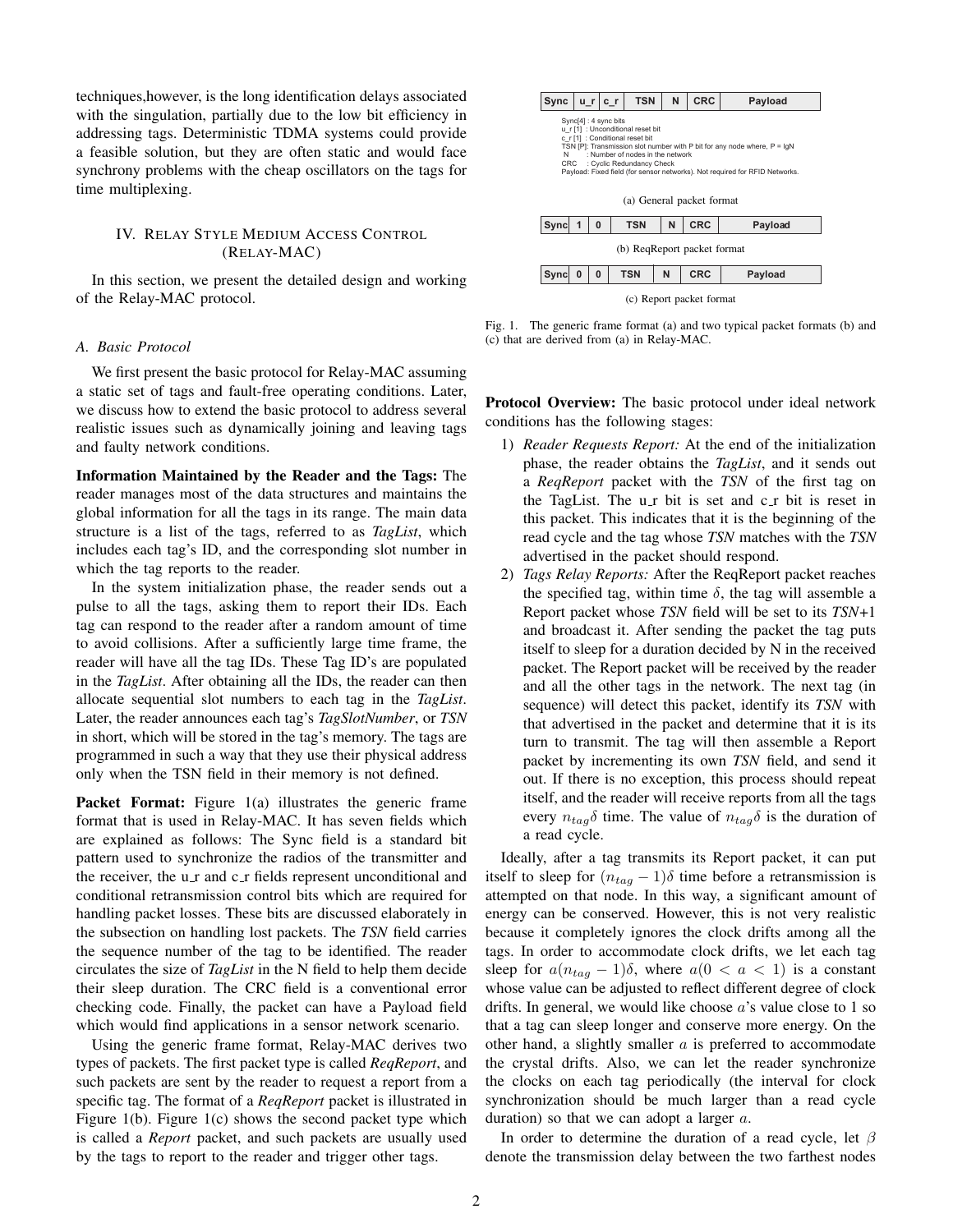techniques,however, is the long identification delays associated with the singulation, partially due to the low bit efficiency in addressing tags. Deterministic TDMA systems could provide a feasible solution, but they are often static and would face synchrony problems with the cheap oscillators on the tags for time multiplexing.

## IV. RELAY STYLE MEDIUM ACCESS CONTROL (RELAY-MAC)

In this section, we present the detailed design and working of the Relay-MAC protocol.

#### *A. Basic Protocol*

We first present the basic protocol for Relay-MAC assuming a static set of tags and fault-free operating conditions. Later, we discuss how to extend the basic protocol to address several realistic issues such as dynamically joining and leaving tags and faulty network conditions.

**Information Maintained by the Reader and the Tags:** The reader manages most of the data structures and maintains the global information for all the tags in its range. The main data structure is a list of the tags, referred to as *TagList*, which includes each tag's ID, and the corresponding slot number in which the tag reports to the reader.

In the system initialization phase, the reader sends out a pulse to all the tags, asking them to report their IDs. Each tag can respond to the reader after a random amount of time to avoid collisions. After a sufficiently large time frame, the reader will have all the tag IDs. These Tag ID's are populated in the *TagList*. After obtaining all the IDs, the reader can then allocate sequential slot numbers to each tag in the *TagList*. Later, the reader announces each tag's *TagSlotNumber*, or *TSN* in short, which will be stored in the tag's memory. The tags are programmed in such a way that they use their physical address only when the TSN field in their memory is not defined.

Packet Format: Figure 1(a) illustrates the generic frame format that is used in Relay-MAC. It has seven fields which are explained as follows: The Sync field is a standard bit pattern used to synchronize the radios of the transmitter and the receiver, the u\_r and  $c_T$  fields represent unconditional and conditional retransmission control bits which are required for handling packet losses. These bits are discussed elaborately in the subsection on handling lost packets. The *TSN* field carries the sequence number of the tag to be identified. The reader circulates the size of *TagList* in the N field to help them decide their sleep duration. The CRC field is a conventional error checking code. Finally, the packet can have a Payload field which would find applications in a sensor network scenario.

Using the generic frame format, Relay-MAC derives two types of packets. The first packet type is called *ReqReport*, and such packets are sent by the reader to request a report from a specific tag. The format of a *ReqReport* packet is illustrated in Figure 1(b). Figure 1(c) shows the second packet type which is called a *Report* packet, and such packets are usually used by the tags to report to the reader and trigger other tags.



Fig. 1. The generic frame format (a) and two typical packet formats (b) and (c) that are derived from (a) in Relay-MAC.

**Protocol Overview:** The basic protocol under ideal network conditions has the following stages:

- 1) *Reader Requests Report:* At the end of the initialization phase, the reader obtains the *TagList*, and it sends out a *ReqReport* packet with the *TSN* of the first tag on the TagList. The u\_r bit is set and  $c_T$  bit is reset in this packet. This indicates that it is the beginning of the read cycle and the tag whose *TSN* matches with the *TSN* advertised in the packet should respond.
- 2) *Tags Relay Reports:* After the ReqReport packet reaches the specified tag, within time  $\delta$ , the tag will assemble a Report packet whose *TSN* field will be set to its *TSN*+1 and broadcast it. After sending the packet the tag puts itself to sleep for a duration decided by N in the received packet. The Report packet will be received by the reader and all the other tags in the network. The next tag (in sequence) will detect this packet, identify its *TSN* with that advertised in the packet and determine that it is its turn to transmit. The tag will then assemble a Report packet by incrementing its own *TSN* field, and send it out. If there is no exception, this process should repeat itself, and the reader will receive reports from all the tags every  $n_{tag} \delta$  time. The value of  $n_{tag} \delta$  is the duration of a read cycle.

Ideally, after a tag transmits its Report packet, it can put itself to sleep for  $(n_{taq} - 1)\delta$  time before a retransmission is attempted on that node. In this way, a significant amount of energy can be conserved. However, this is not very realistic because it completely ignores the clock drifts among all the tags. In order to accommodate clock drifts, we let each tag sleep for  $a(n_{tag} - 1)\delta$ , where  $a(0 < a < 1)$  is a constant whose value can be adjusted to reflect different degree of clock drifts. In general, we would like choose  $a$ 's value close to 1 so that a tag can sleep longer and conserve more energy. On the other hand, a slightly smaller  $a$  is preferred to accommodate the crystal drifts. Also, we can let the reader synchronize the clocks on each tag periodically (the interval for clock synchronization should be much larger than a read cycle duration) so that we can adopt a larger  $a$ .

In order to determine the duration of a read cycle, let  $\beta$ denote the transmission delay between the two farthest nodes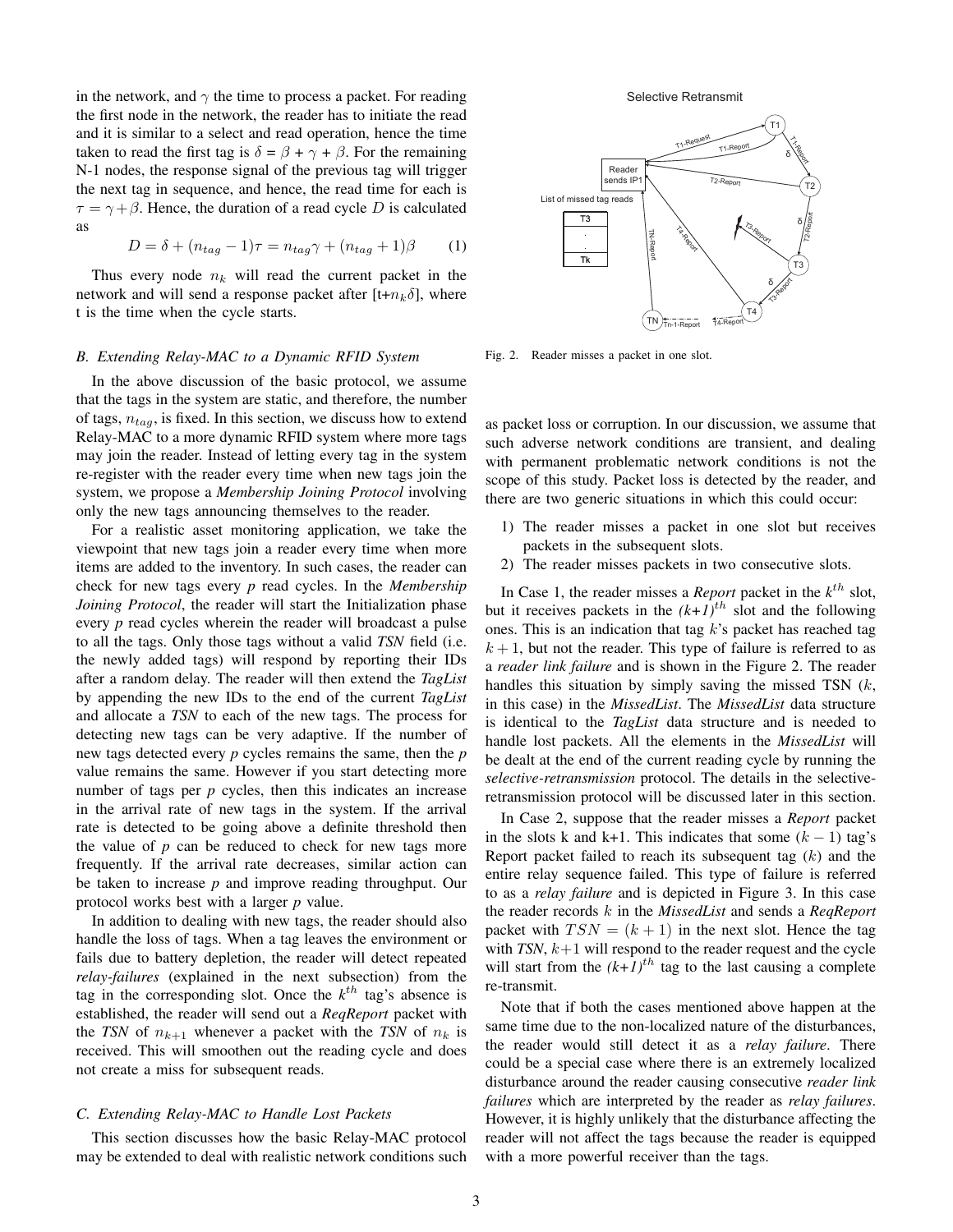in the network, and  $\gamma$  the time to process a packet. For reading the first node in the network, the reader has to initiate the read and it is similar to a select and read operation, hence the time taken to read the first tag is  $\delta = \beta + \gamma + \beta$ . For the remaining N-1 nodes, the response signal of the previous tag will trigger the next tag in sequence, and hence, the read time for each is  $\tau = \gamma + \beta$ . Hence, the duration of a read cycle D is calculated as

$$
D = \delta + (n_{tag} - 1)\tau = n_{tag}\gamma + (n_{tag} + 1)\beta \tag{1}
$$

Thus every node  $n_k$  will read the current packet in the network and will send a response packet after  $[t+n_k\delta]$ , where t is the time when the cycle starts.

### *B. Extending Relay-MAC to a Dynamic RFID System*

In the above discussion of the basic protocol, we assume that the tags in the system are static, and therefore, the number of tags, <sup>n</sup>*tag*, is fixed. In this section, we discuss how to extend Relay-MAC to a more dynamic RFID system where more tags may join the reader. Instead of letting every tag in the system re-register with the reader every time when new tags join the system, we propose a *Membership Joining Protocol* involving only the new tags announcing themselves to the reader.

For a realistic asset monitoring application, we take the viewpoint that new tags join a reader every time when more items are added to the inventory. In such cases, the reader can check for new tags every *p* read cycles. In the *Membership Joining Protocol*, the reader will start the Initialization phase every *p* read cycles wherein the reader will broadcast a pulse to all the tags. Only those tags without a valid *TSN* field (i.e. the newly added tags) will respond by reporting their IDs after a random delay. The reader will then extend the *TagList* by appending the new IDs to the end of the current *TagList* and allocate a *TSN* to each of the new tags. The process for detecting new tags can be very adaptive. If the number of new tags detected every *p* cycles remains the same, then the *p* value remains the same. However if you start detecting more number of tags per *p* cycles, then this indicates an increase in the arrival rate of new tags in the system. If the arrival rate is detected to be going above a definite threshold then the value of  $p$  can be reduced to check for new tags more frequently. If the arrival rate decreases, similar action can be taken to increase *p* and improve reading throughput. Our protocol works best with a larger *p* value.

In addition to dealing with new tags, the reader should also handle the loss of tags. When a tag leaves the environment or fails due to battery depletion, the reader will detect repeated *relay-failures* (explained in the next subsection) from the tag in the corresponding slot. Once the  $k^{th}$  tag's absence is established, the reader will send out a *ReqReport* packet with the *TSN* of  $n_{k+1}$  whenever a packet with the *TSN* of  $n_k$  is received. This will smoothen out the reading cycle and does not create a miss for subsequent reads.

## *C. Extending Relay-MAC to Handle Lost Packets*

This section discusses how the basic Relay-MAC protocol may be extended to deal with realistic network conditions such

Selective Retransmit



Fig. 2. Reader misses a packet in one slot.

as packet loss or corruption. In our discussion, we assume that such adverse network conditions are transient, and dealing with permanent problematic network conditions is not the scope of this study. Packet loss is detected by the reader, and there are two generic situations in which this could occur:

- 1) The reader misses a packet in one slot but receives packets in the subsequent slots.
- 2) The reader misses packets in two consecutive slots.

In Case 1, the reader misses a *Report* packet in the  $k^{th}$  slot, but it receives packets in the  $(k+1)^{th}$  slot and the following ones. This is an indication that tag  $k$ 's packet has reached tag  $k + 1$ , but not the reader. This type of failure is referred to as a *reader link failure* and is shown in the Figure 2. The reader handles this situation by simply saving the missed TSN  $(k,$ in this case) in the *MissedList*. The *MissedList* data structure is identical to the *TagList* data structure and is needed to handle lost packets. All the elements in the *MissedList* will be dealt at the end of the current reading cycle by running the *selective-retransmission* protocol. The details in the selectiveretransmission protocol will be discussed later in this section.

In Case 2, suppose that the reader misses a *Report* packet in the slots k and k+1. This indicates that some  $(k - 1)$  tag's Report packet failed to reach its subsequent tag  $(k)$  and the entire relay sequence failed. This type of failure is referred to as a *relay failure* and is depicted in Figure 3. In this case the reader records k in the *MissedList* and sends a *ReqReport* packet with  $TSN = (k + 1)$  in the next slot. Hence the tag with  $TSN$ ,  $k+1$  will respond to the reader request and the cycle will start from the  $(k+1)^{th}$  tag to the last causing a complete re-transmit.

Note that if both the cases mentioned above happen at the same time due to the non-localized nature of the disturbances, the reader would still detect it as a *relay failure*. There could be a special case where there is an extremely localized disturbance around the reader causing consecutive *reader link failures* which are interpreted by the reader as *relay failures*. However, it is highly unlikely that the disturbance affecting the reader will not affect the tags because the reader is equipped with a more powerful receiver than the tags.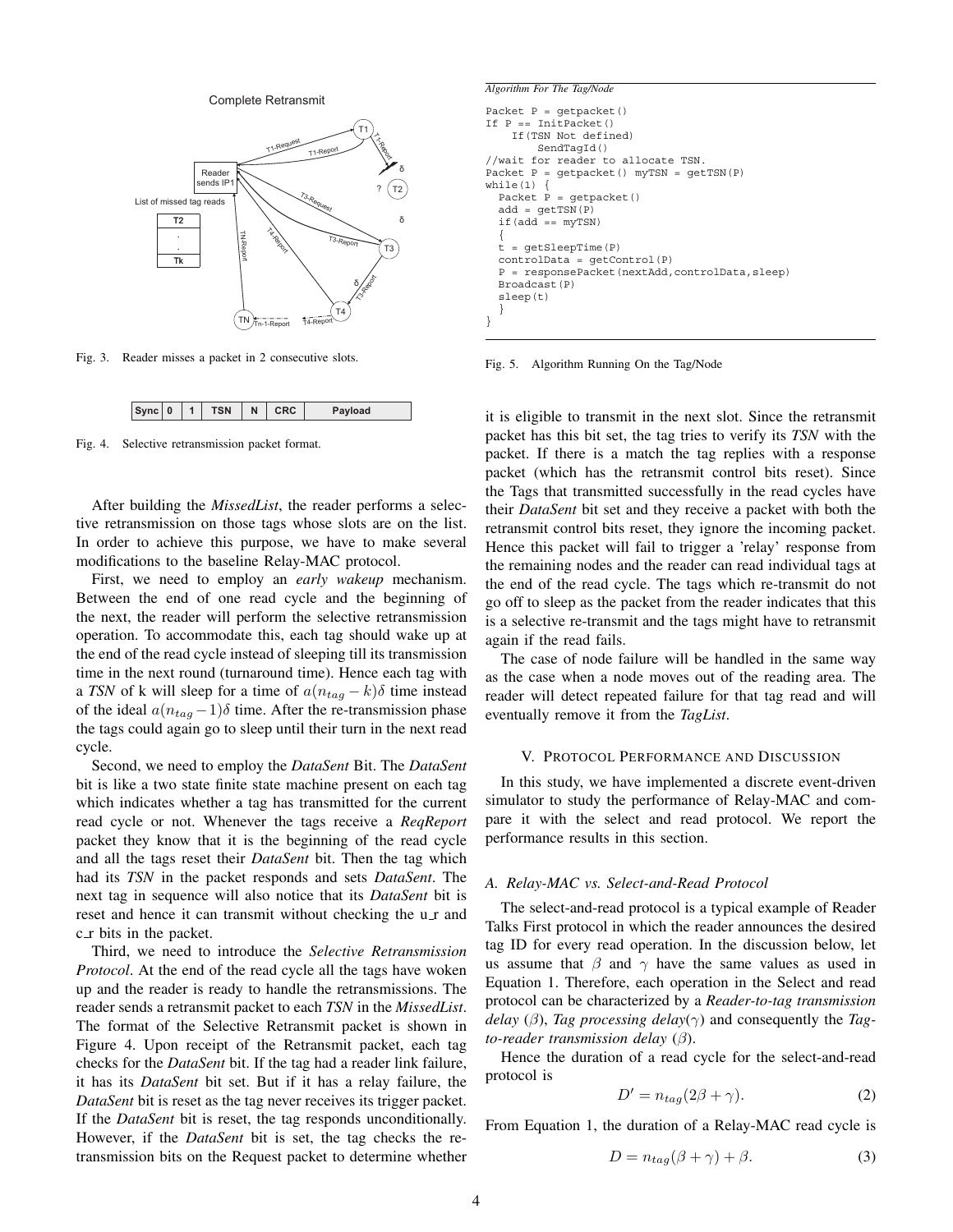Complete Retransmit



Fig. 3. Reader misses a packet in 2 consecutive slots.

| $Sync$ 0<br><b>TSN</b> | N | <b>CRC</b> | Payload |
|------------------------|---|------------|---------|
|------------------------|---|------------|---------|

Fig. 4. Selective retransmission packet format.

After building the *MissedList*, the reader performs a selective retransmission on those tags whose slots are on the list. In order to achieve this purpose, we have to make several modifications to the baseline Relay-MAC protocol.

First, we need to employ an *early wakeup* mechanism. Between the end of one read cycle and the beginning of the next, the reader will perform the selective retransmission operation. To accommodate this, each tag should wake up at the end of the read cycle instead of sleeping till its transmission time in the next round (turnaround time). Hence each tag with a *TSN* of k will sleep for a time of  $a(n_{tag} - k)\delta$  time instead of the ideal  $a(n_{tag} -1)\delta$  time. After the re-transmission phase the tags could again go to sleep until their turn in the next read cycle.

Second, we need to employ the *DataSent* Bit. The *DataSent* bit is like a two state finite state machine present on each tag which indicates whether a tag has transmitted for the current read cycle or not. Whenever the tags receive a *ReqReport* packet they know that it is the beginning of the read cycle and all the tags reset their *DataSent* bit. Then the tag which had its *TSN* in the packet responds and sets *DataSent*. The next tag in sequence will also notice that its *DataSent* bit is reset and hence it can transmit without checking the u\_r and c\_r bits in the packet.

Third, we need to introduce the *Selective Retransmission Protocol*. At the end of the read cycle all the tags have woken up and the reader is ready to handle the retransmissions. The reader sends a retransmit packet to each *TSN* in the *MissedList*. The format of the Selective Retransmit packet is shown in Figure 4. Upon receipt of the Retransmit packet, each tag checks for the *DataSent* bit. If the tag had a reader link failure, it has its *DataSent* bit set. But if it has a relay failure, the *DataSent* bit is reset as the tag never receives its trigger packet. If the *DataSent* bit is reset, the tag responds unconditionally. However, if the *DataSent* bit is set, the tag checks the retransmission bits on the Request packet to determine whether

```
Algorithm For The Tag/Node
Packet P = getpacket()
If P == InitPacket()
    If(TSN Not defined)
        SendTagId()
//wait for reader to allocate TSN.
Packet P = getpacket() myTSN = getTSN(P)
while(1)Packet P = getpacket()add = qetTSN(P)if(add == myTSN)
  {
  t = getSleepTime(P)
  controlData = getControl(P)
  P = responsePacket(nextAdd,controlData,sleep)
  Broadcast(P)
  sleep(t)
  }
}
```
Fig. 5. Algorithm Running On the Tag/Node

it is eligible to transmit in the next slot. Since the retransmit packet has this bit set, the tag tries to verify its *TSN* with the packet. If there is a match the tag replies with a response packet (which has the retransmit control bits reset). Since the Tags that transmitted successfully in the read cycles have their *DataSent* bit set and they receive a packet with both the retransmit control bits reset, they ignore the incoming packet. Hence this packet will fail to trigger a 'relay' response from the remaining nodes and the reader can read individual tags at the end of the read cycle. The tags which re-transmit do not go off to sleep as the packet from the reader indicates that this is a selective re-transmit and the tags might have to retransmit again if the read fails.

The case of node failure will be handled in the same way as the case when a node moves out of the reading area. The reader will detect repeated failure for that tag read and will eventually remove it from the *TagList*.

#### V. PROTOCOL PERFORMANCE AND DISCUSSION

In this study, we have implemented a discrete event-driven simulator to study the performance of Relay-MAC and compare it with the select and read protocol. We report the performance results in this section.

## *A. Relay-MAC vs. Select-and-Read Protocol*

The select-and-read protocol is a typical example of Reader Talks First protocol in which the reader announces the desired tag ID for every read operation. In the discussion below, let us assume that  $\beta$  and  $\gamma$  have the same values as used in Equation 1. Therefore, each operation in the Select and read protocol can be characterized by a *Reader-to-tag transmission delay* ( $\beta$ ), *Tag processing delay*( $\gamma$ ) and consequently the *Tagto-reader transmission delay* (β).

Hence the duration of a read cycle for the select-and-read protocol is

$$
D' = n_{tag}(2\beta + \gamma). \tag{2}
$$

From Equation 1, the duration of a Relay-MAC read cycle is

$$
D = n_{tag}(\beta + \gamma) + \beta.
$$
 (3)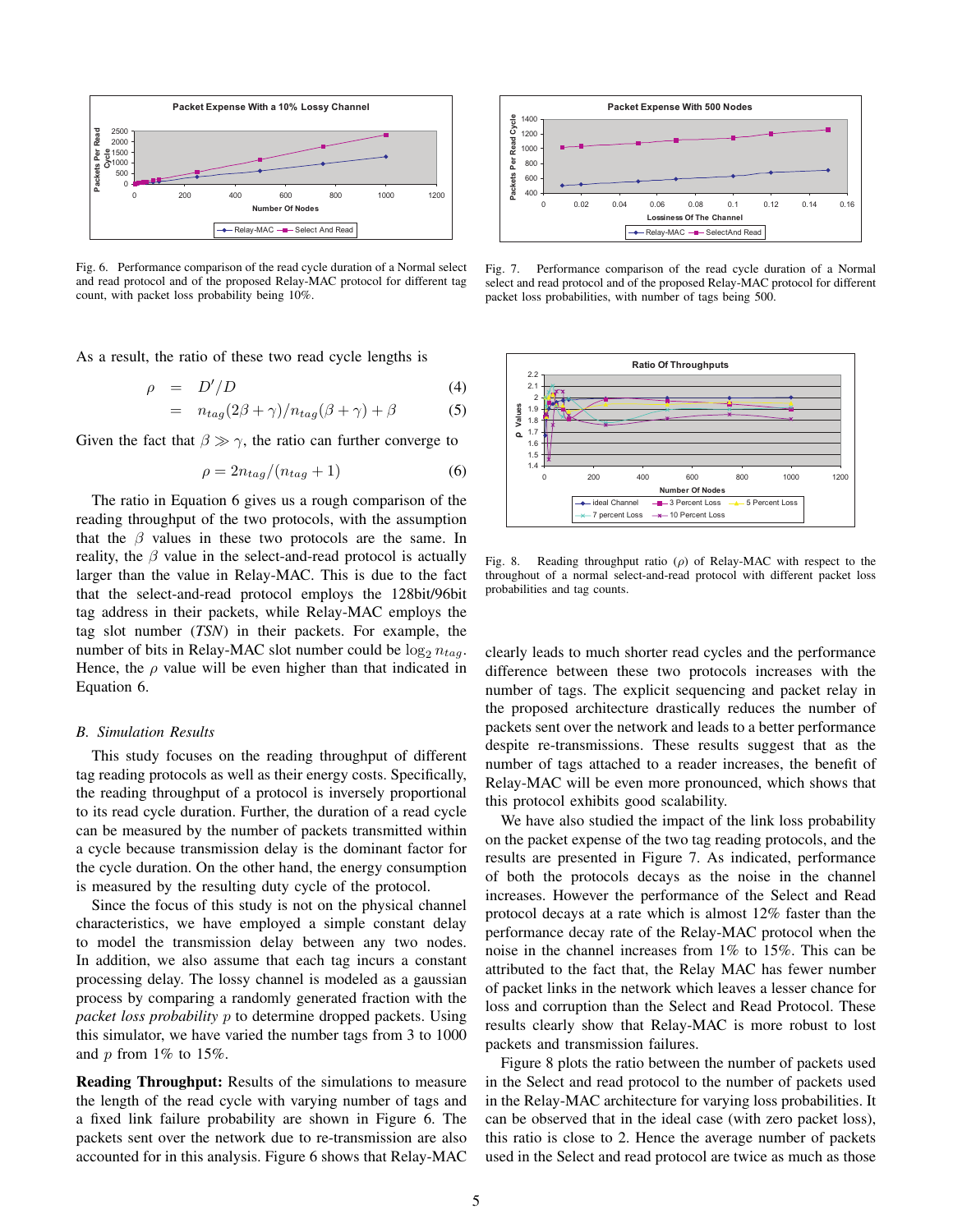

Fig. 6. Performance comparison of the read cycle duration of a Normal select and read protocol and of the proposed Relay-MAC protocol for different tag count, with packet loss probability being 10%.

As a result, the ratio of these two read cycle lengths is

$$
\rho = D'/D \tag{4}
$$

$$
= n_{tag}(2\beta + \gamma)/n_{tag}(\beta + \gamma) + \beta \tag{5}
$$

Given the fact that  $\beta \gg \gamma$ , the ratio can further converge to

$$
\rho = 2n_{tag}/(n_{tag} + 1) \tag{6}
$$

The ratio in Equation 6 gives us a rough comparison of the reading throughput of the two protocols, with the assumption that the  $\beta$  values in these two protocols are the same. In reality, the  $\beta$  value in the select-and-read protocol is actually larger than the value in Relay-MAC. This is due to the fact that the select-and-read protocol employs the 128bit/96bit tag address in their packets, while Relay-MAC employs the tag slot number (*TSN*) in their packets. For example, the number of bits in Relay-MAC slot number could be  $\log_2 n_{tag}$ . Hence, the  $\rho$  value will be even higher than that indicated in Equation 6.

#### *B. Simulation Results*

This study focuses on the reading throughput of different tag reading protocols as well as their energy costs. Specifically, the reading throughput of a protocol is inversely proportional to its read cycle duration. Further, the duration of a read cycle can be measured by the number of packets transmitted within a cycle because transmission delay is the dominant factor for the cycle duration. On the other hand, the energy consumption is measured by the resulting duty cycle of the protocol.

Since the focus of this study is not on the physical channel characteristics, we have employed a simple constant delay to model the transmission delay between any two nodes. In addition, we also assume that each tag incurs a constant processing delay. The lossy channel is modeled as a gaussian process by comparing a randomly generated fraction with the *packet loss probability* p to determine dropped packets. Using this simulator, we have varied the number tags from 3 to 1000 and  $p$  from 1% to 15%.

**Reading Throughput:** Results of the simulations to measure the length of the read cycle with varying number of tags and a fixed link failure probability are shown in Figure 6. The packets sent over the network due to re-transmission are also accounted for in this analysis. Figure 6 shows that Relay-MAC



Fig. 7. Performance comparison of the read cycle duration of a Normal select and read protocol and of the proposed Relay-MAC protocol for different packet loss probabilities, with number of tags being 500.



Fig. 8. Reading throughput ratio  $(\rho)$  of Relay-MAC with respect to the throughout of a normal select-and-read protocol with different packet loss probabilities and tag counts.

clearly leads to much shorter read cycles and the performance difference between these two protocols increases with the number of tags. The explicit sequencing and packet relay in the proposed architecture drastically reduces the number of packets sent over the network and leads to a better performance despite re-transmissions. These results suggest that as the number of tags attached to a reader increases, the benefit of Relay-MAC will be even more pronounced, which shows that this protocol exhibits good scalability.

We have also studied the impact of the link loss probability on the packet expense of the two tag reading protocols, and the results are presented in Figure 7. As indicated, performance of both the protocols decays as the noise in the channel increases. However the performance of the Select and Read protocol decays at a rate which is almost 12% faster than the performance decay rate of the Relay-MAC protocol when the noise in the channel increases from 1% to 15%. This can be attributed to the fact that, the Relay MAC has fewer number of packet links in the network which leaves a lesser chance for loss and corruption than the Select and Read Protocol. These results clearly show that Relay-MAC is more robust to lost packets and transmission failures.

Figure 8 plots the ratio between the number of packets used in the Select and read protocol to the number of packets used in the Relay-MAC architecture for varying loss probabilities. It can be observed that in the ideal case (with zero packet loss), this ratio is close to 2. Hence the average number of packets used in the Select and read protocol are twice as much as those